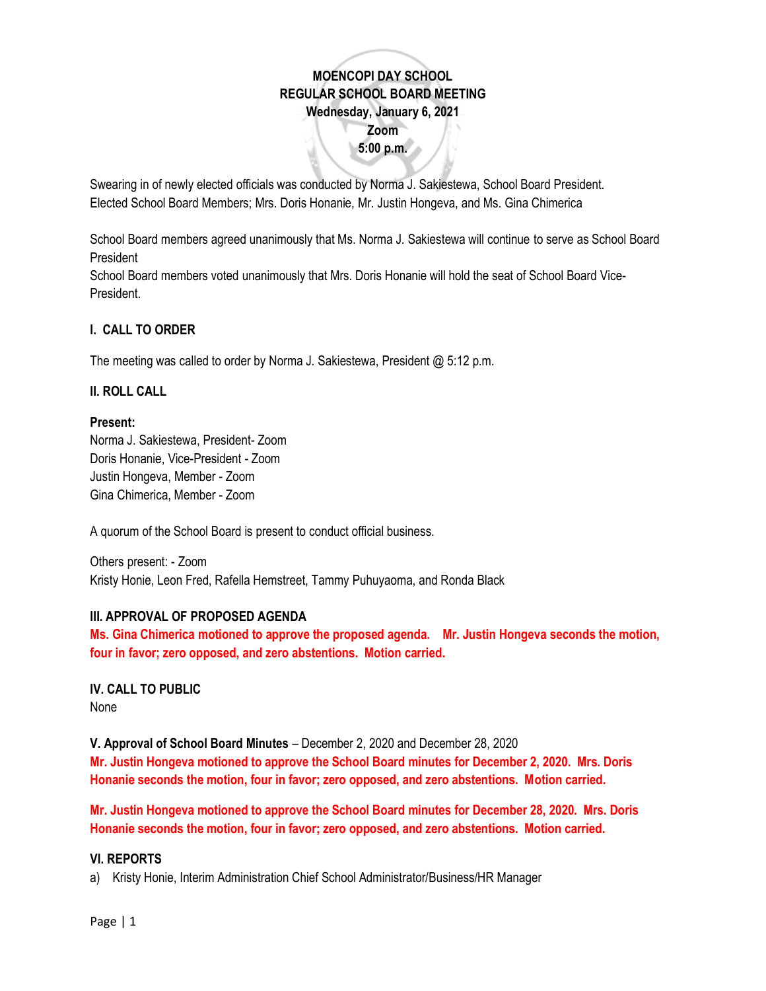# **MOENCOPI DAY SCHOOL REGULAR SCHOOL BOARD MEETING Wednesday, January 6, 2021 Zoom 5:00 p.m.**

Swearing in of newly elected officials was conducted by Norma J. Sakiestewa, School Board President. Elected School Board Members; Mrs. Doris Honanie, Mr. Justin Hongeva, and Ms. Gina Chimerica

School Board members agreed unanimously that Ms. Norma J. Sakiestewa will continue to serve as School Board President

School Board members voted unanimously that Mrs. Doris Honanie will hold the seat of School Board Vice-President.

# **I. CALL TO ORDER**

The meeting was called to order by Norma J. Sakiestewa, President @ 5:12 p.m.

## **II. ROLL CALL**

#### **Present:**

Norma J. Sakiestewa, President- Zoom Doris Honanie, Vice-President - Zoom Justin Hongeva, Member - Zoom Gina Chimerica, Member - Zoom

A quorum of the School Board is present to conduct official business.

Others present: - Zoom Kristy Honie, Leon Fred, Rafella Hemstreet, Tammy Puhuyaoma, and Ronda Black

#### **III. APPROVAL OF PROPOSED AGENDA**

**Ms. Gina Chimerica motioned to approve the proposed agenda. Mr. Justin Hongeva seconds the motion, four in favor; zero opposed, and zero abstentions. Motion carried.** 

**IV. CALL TO PUBLIC** None

**V. Approval of School Board Minutes** – December 2, 2020 and December 28, 2020 **Mr. Justin Hongeva motioned to approve the School Board minutes for December 2, 2020. Mrs. Doris Honanie seconds the motion, four in favor; zero opposed, and zero abstentions. Motion carried.** 

**Mr. Justin Hongeva motioned to approve the School Board minutes for December 28, 2020. Mrs. Doris Honanie seconds the motion, four in favor; zero opposed, and zero abstentions. Motion carried.** 

#### **VI. REPORTS**

a) Kristy Honie, Interim Administration Chief School Administrator/Business/HR Manager

Page | 1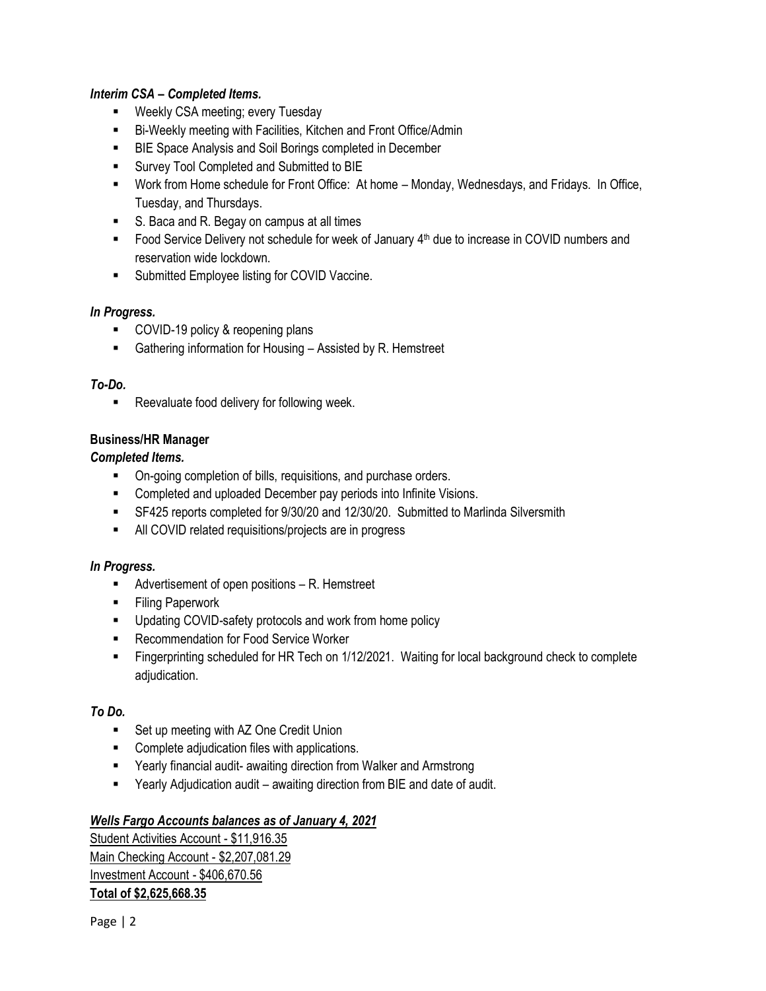## *Interim CSA – Completed Items.*

- Weekly CSA meeting; every Tuesday
- Bi-Weekly meeting with Facilities, Kitchen and Front Office/Admin
- BIE Space Analysis and Soil Borings completed in December
- Survey Tool Completed and Submitted to BIE
- Work from Home schedule for Front Office: At home Monday, Wednesdays, and Fridays. In Office, Tuesday, and Thursdays.
- S. Baca and R. Begay on campus at all times
- Food Service Delivery not schedule for week of January 4<sup>th</sup> due to increase in COVID numbers and reservation wide lockdown.
- Submitted Employee listing for COVID Vaccine.

## *In Progress.*

- COVID-19 policy & reopening plans
- Gathering information for Housing Assisted by R. Hemstreet

## *To-Do.*

■ Reevaluate food delivery for following week.

## **Business/HR Manager**

#### *Completed Items.*

- On-going completion of bills, requisitions, and purchase orders.
- Completed and uploaded December pay periods into Infinite Visions.
- SF425 reports completed for 9/30/20 and 12/30/20. Submitted to Marlinda Silversmith
- All COVID related requisitions/projects are in progress

## *In Progress.*

- Advertisement of open positions R. Hemstreet
- **E** Filing Paperwork
- Updating COVID-safety protocols and work from home policy
- Recommendation for Food Service Worker
- Fingerprinting scheduled for HR Tech on 1/12/2021. Waiting for local background check to complete adjudication.

## *To Do.*

- Set up meeting with AZ One Credit Union
- Complete adjudication files with applications.
- Yearly financial audit- awaiting direction from Walker and Armstrong
- **EXECT** Yearly Adjudication audit awaiting direction from BIE and date of audit.

## *Wells Fargo Accounts balances as of January 4, 2021*

Student Activities Account - \$11,916.35 Main Checking Account - \$2,207,081.29 Investment Account - \$406,670.56 **Total of \$2,625,668.35**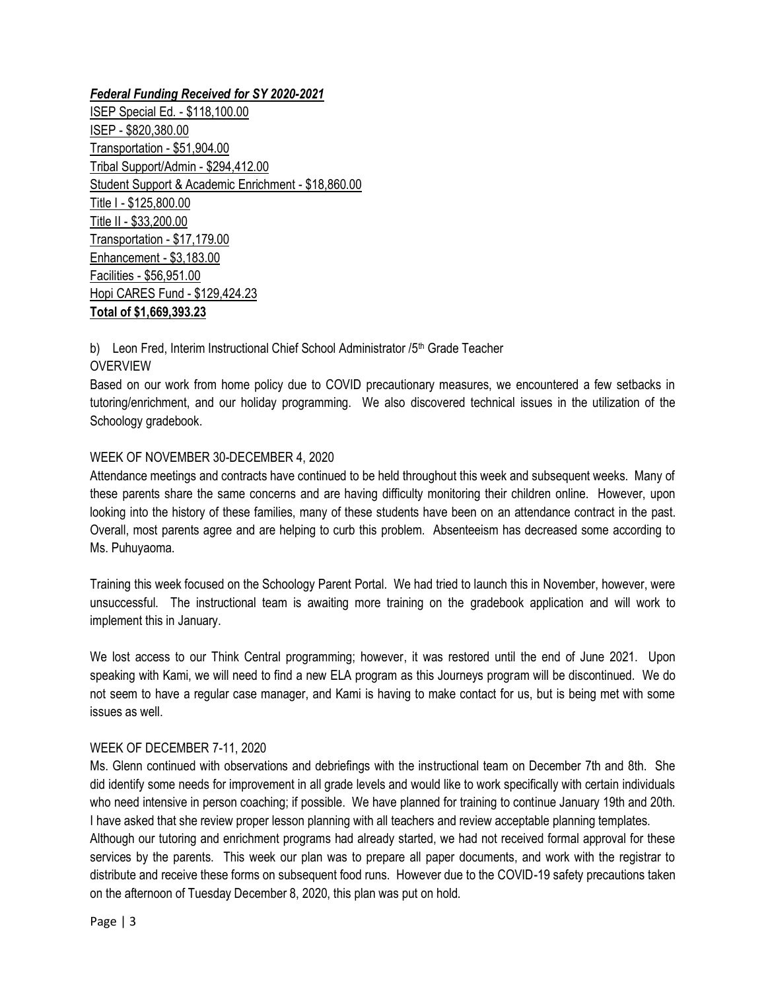*Federal Funding Received for SY 2020-2021* ISEP Special Ed. - \$118,100.00 ISEP - \$820,380.00 Transportation - \$51,904.00 Tribal Support/Admin - \$294,412.00 Student Support & Academic Enrichment - \$18,860.00 Title I - \$125,800.00 Title II - \$33,200.00 Transportation - \$17,179.00 Enhancement - \$3,183.00 Facilities - \$56,951.00 Hopi CARES Fund - \$129,424.23 **Total of \$1,669,393.23**

b) Leon Fred, Interim Instructional Chief School Administrator /5<sup>th</sup> Grade Teacher

## **OVERVIEW**

Based on our work from home policy due to COVID precautionary measures, we encountered a few setbacks in tutoring/enrichment, and our holiday programming. We also discovered technical issues in the utilization of the Schoology gradebook.

## WEEK OF NOVEMBER 30-DECEMBER 4, 2020

Attendance meetings and contracts have continued to be held throughout this week and subsequent weeks. Many of these parents share the same concerns and are having difficulty monitoring their children online. However, upon looking into the history of these families, many of these students have been on an attendance contract in the past. Overall, most parents agree and are helping to curb this problem. Absenteeism has decreased some according to Ms. Puhuyaoma.

Training this week focused on the Schoology Parent Portal. We had tried to launch this in November, however, were unsuccessful. The instructional team is awaiting more training on the gradebook application and will work to implement this in January.

We lost access to our Think Central programming; however, it was restored until the end of June 2021. Upon speaking with Kami, we will need to find a new ELA program as this Journeys program will be discontinued. We do not seem to have a regular case manager, and Kami is having to make contact for us, but is being met with some issues as well.

## WEEK OF DECEMBER 7-11, 2020

Ms. Glenn continued with observations and debriefings with the instructional team on December 7th and 8th. She did identify some needs for improvement in all grade levels and would like to work specifically with certain individuals who need intensive in person coaching; if possible. We have planned for training to continue January 19th and 20th. I have asked that she review proper lesson planning with all teachers and review acceptable planning templates. Although our tutoring and enrichment programs had already started, we had not received formal approval for these services by the parents. This week our plan was to prepare all paper documents, and work with the registrar to distribute and receive these forms on subsequent food runs. However due to the COVID-19 safety precautions taken on the afternoon of Tuesday December 8, 2020, this plan was put on hold.

Page | 3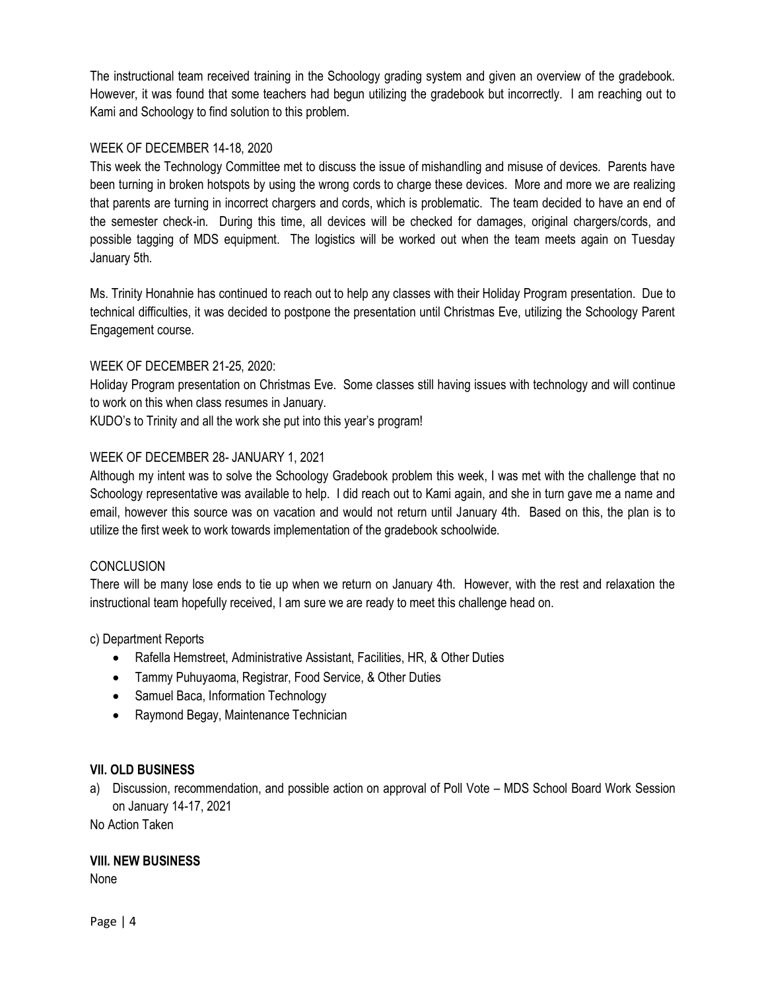The instructional team received training in the Schoology grading system and given an overview of the gradebook. However, it was found that some teachers had begun utilizing the gradebook but incorrectly. I am reaching out to Kami and Schoology to find solution to this problem.

## WEEK OF DECEMBER 14-18, 2020

This week the Technology Committee met to discuss the issue of mishandling and misuse of devices. Parents have been turning in broken hotspots by using the wrong cords to charge these devices. More and more we are realizing that parents are turning in incorrect chargers and cords, which is problematic. The team decided to have an end of the semester check-in. During this time, all devices will be checked for damages, original chargers/cords, and possible tagging of MDS equipment. The logistics will be worked out when the team meets again on Tuesday January 5th.

Ms. Trinity Honahnie has continued to reach out to help any classes with their Holiday Program presentation. Due to technical difficulties, it was decided to postpone the presentation until Christmas Eve, utilizing the Schoology Parent Engagement course.

## WEEK OF DECEMBER 21-25, 2020:

Holiday Program presentation on Christmas Eve. Some classes still having issues with technology and will continue to work on this when class resumes in January.

KUDO's to Trinity and all the work she put into this year's program!

# WEEK OF DECEMBER 28- JANUARY 1, 2021

Although my intent was to solve the Schoology Gradebook problem this week, I was met with the challenge that no Schoology representative was available to help. I did reach out to Kami again, and she in turn gave me a name and email, however this source was on vacation and would not return until January 4th. Based on this, the plan is to utilize the first week to work towards implementation of the gradebook schoolwide.

## **CONCLUSION**

There will be many lose ends to tie up when we return on January 4th. However, with the rest and relaxation the instructional team hopefully received, I am sure we are ready to meet this challenge head on.

## c) Department Reports

- Rafella Hemstreet, Administrative Assistant, Facilities, HR, & Other Duties
- Tammy Puhuyaoma, Registrar, Food Service, & Other Duties
- Samuel Baca, Information Technology
- Raymond Begay, Maintenance Technician

## **VII. OLD BUSINESS**

a) Discussion, recommendation, and possible action on approval of Poll Vote – MDS School Board Work Session on January 14-17, 2021

No Action Taken

## **VIII. NEW BUSINESS**

None